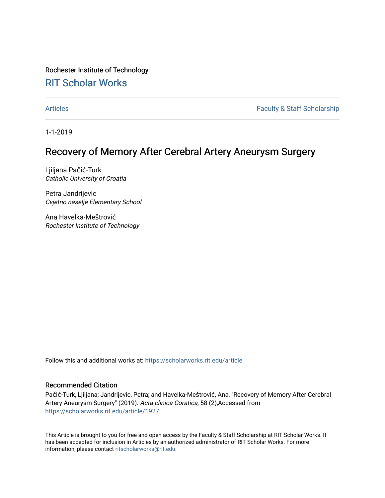Rochester Institute of Technology

# [RIT Scholar Works](https://scholarworks.rit.edu/)

[Articles](https://scholarworks.rit.edu/article) **Faculty & Staff Scholarship** 

1-1-2019

# Recovery of Memory After Cerebral Artery Aneurysm Surgery

Ljiljana Pačić-Turk Catholic University of Croatia

Petra Jandrijevic Cvjetno naselje Elementary School

Ana Havelka-Meštrović Rochester Institute of Technology

Follow this and additional works at: [https://scholarworks.rit.edu/article](https://scholarworks.rit.edu/article?utm_source=scholarworks.rit.edu%2Farticle%2F1927&utm_medium=PDF&utm_campaign=PDFCoverPages) 

### Recommended Citation

Pačić-Turk, Ljiljana; Jandrijevic, Petra; and Havelka-Meštrović, Ana, "Recovery of Memory After Cerebral Artery Aneurysm Surgery" (2019). Acta clinica Coratica, 58 (2),Accessed from [https://scholarworks.rit.edu/article/1927](https://scholarworks.rit.edu/article/1927?utm_source=scholarworks.rit.edu%2Farticle%2F1927&utm_medium=PDF&utm_campaign=PDFCoverPages)

This Article is brought to you for free and open access by the Faculty & Staff Scholarship at RIT Scholar Works. It has been accepted for inclusion in Articles by an authorized administrator of RIT Scholar Works. For more information, please contact [ritscholarworks@rit.edu.](mailto:ritscholarworks@rit.edu)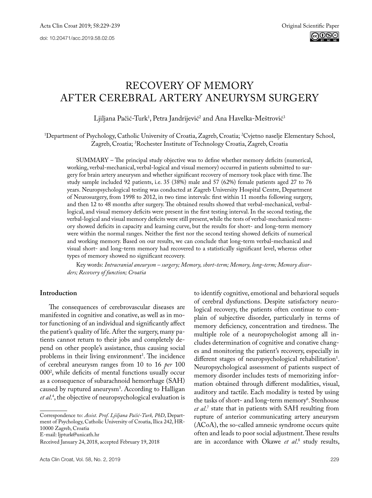# RECOVERY OF MEMORY AFTER CEREBRAL ARTERY ANEURYSM SURGERY

Ljiljana Pačić-Turk<sup>1</sup>, Petra Jandrijević<sup>2</sup> and Ana Havelka-Meštrović<sup>3</sup>

1 Department of Psychology, Catholic University of Croatia, Zagreb, Croatia; 2 Cvjetno naselje Elementary School, Zagreb, Croatia; 3 Rochester Institute of Technology Croatia, Zagreb, Croatia

SUMMARY – The principal study objective was to define whether memory deficits (numerical, working, verbal-mechanical, verbal-logical and visual memory) occurred in patients submitted to surgery for brain artery aneurysm and whether significant recovery of memory took place with time. The study sample included 92 patients, i.e. 35 (38%) male and 57 (62%) female patients aged 27 to 76 years. Neuropsychological testing was conducted at Zagreb University Hospital Centre, Department of Neurosurgery, from 1998 to 2012, in two time intervals: first within 11 months following surgery, and then 12 to 48 months after surgery. The obtained results showed that verbal-mechanical, verballogical, and visual memory deficits were present in the first testing interval. In the second testing, the verbal-logical and visual memory deficits were still present, while the tests of verbal-mechanical memory showed deficits in capacity and learning curve, but the results for short- and long-term memory were within the normal ranges. Neither the first nor the second testing showed deficits of numerical and working memory. Based on our results, we can conclude that long-term verbal-mechanical and visual short- and long-term memory had recovered to a statistically significant level, whereas other types of memory showed no significant recovery.

Key words: *Intracranial aneurysm – surgery; Memory, short-term; Memory, long-term; Memory disorders; Recovery of function; Croatia*

#### **Introduction**

The consequences of cerebrovascular diseases are manifested in cognitive and conative, as well as in motor functioning of an individual and significantly affect the patient's quality of life. After the surgery, many patients cannot return to their jobs and completely depend on other people's assistance, thus causing social problems in their living environment<sup>1</sup>. The incidence of cerebral aneurysm ranges from 10 to 16 *per* 100 0002 , while deficits of mental functions usually occur as a consequence of subarachnoid hemorrhage (SAH) caused by ruptured aneurysm3 . According to Halligan *et al*. 4 , the objective of neuropsychological evaluation is

Correspondence to: *Assist. Prof. Ljiljana Pačić-Turk, PhD*, Department of Psychology, Catholic University of Croatia, Ilica 242, HR-10000 Zagreb, Croatia

E-mail: ljpturk@unicath.hr

to identify cognitive, emotional and behavioral sequels of cerebral dysfunctions. Despite satisfactory neurological recovery, the patients often continue to complain of subjective disorder, particularly in terms of memory deficiency, concentration and tiredness. The multiple role of a neuropsychologist among all includes determination of cognitive and conative changes and monitoring the patient's recovery, especially in different stages of neuropsychological rehabilitation<sup>5</sup>. Neuropsychological assessment of patients suspect of memory disorder includes tests of memorizing information obtained through different modalities, visual, auditory and tactile. Each modality is tested by using the tasks of short- and long-term memory<sup>6</sup>. Stenhouse *et al*. 7 state that in patients with SAH resulting from rupture of anterior communicating artery aneurysm (ACoA), the so-called amnesic syndrome occurs quite often and leads to poor social adjustment. These results are in accordance with Okawe *et al*.<sup>8</sup> study results,

Received January 24, 2018, accepted February 19, 2018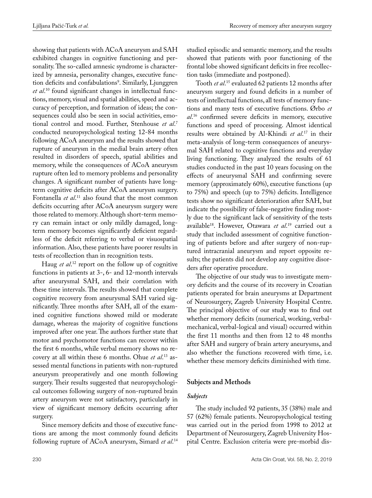showing that patients with ACoA aneurysm and SAH exhibited changes in cognitive functioning and personality. The so-called amnesic syndrome is characterized by amnesia, personality changes, executive function deficits and confabulations<sup>9</sup>. Similarly, Ljunggren *et al*. 10 found significant changes in intellectual functions, memory, visual and spatial abilities, speed and accuracy of perception, and formation of ideas; the consequences could also be seen in social activities, emotional control and mood. Further, Stenhouse *et al*. 7 conducted neuropsychological testing 12-84 months following ACoA aneurysm and the results showed that rupture of aneurysm in the medial brain artery often resulted in disorders of speech, spatial abilities and memory, while the consequences of ACoA aneurysm rupture often led to memory problems and personality changes. A significant number of patients have longterm cognitive deficits after ACoA aneurysm surgery. Fontanella *et al*.<sup>11</sup> also found that the most common deficits occurring after ACoA aneurysm surgery were those related to memory. Although short-term memory can remain intact or only mildly damaged, longterm memory becomes significantly deficient regardless of the deficit referring to verbal or visuospatial information. Also, these patients have poorer results in tests of recollection than in recognition tests.

Haug *et al*. 12 report on the follow up of cognitive functions in patients at 3-, 6- and 12-month intervals after aneurysmal SAH, and their correlation with these time intervals. The results showed that complete cognitive recovery from aneurysmal SAH varied significantly. Three months after SAH, all of the examined cognitive functions showed mild or moderate damage, whereas the majority of cognitive functions improved after one year. The authors further state that motor and psychomotor functions can recover within the first 6 months, while verbal memory shows no recovery at all within these 6 months. Ohue *et al*. 13 assessed mental functions in patients with non-ruptured aneurysm preoperatively and one month following surgery. Their results suggested that neuropsychological outcomes following surgery of non-ruptured brain artery aneurysm were not satisfactory, particularly in view of significant memory deficits occurring after surgery.

Since memory deficits and those of executive functions are among the most commonly found deficits following rupture of ACoA aneurysm, Simard *et al*. 14

studied episodic and semantic memory, and the results showed that patients with poor functioning of the frontal lobe showed significant deficits in free recollection tasks (immediate and postponed).

Tooth *et al*. 15 evaluated 62 patients 12 months after aneurysm surgery and found deficits in a number of tests of intellectual functions, all tests of memory functions and many tests of executive functions. Ørbo *et al*. 16 confirmed severe deficits in memory, executive functions and speed of processing. Almost identical results were obtained by Al-Khindi *et al*. 17 in their meta-analysis of long-term consequences of aneurysmal SAH related to cognitive functions and everyday living functioning. They analyzed the results of 61 studies conducted in the past 10 years focusing on the effects of aneurysmal SAH and confirming severe memory (approximately 60%), executive functions (up to 75%) and speech (up to 75%) deficits. Intelligence tests show no significant deterioration after SAH, but indicate the possibility of false-negative finding mostly due to the significant lack of sensitivity of the tests available18. However, Otawara *et al*. 19 carried out a study that included assessment of cognitive functioning of patients before and after surgery of non-ruptured intracranial aneurysm and report opposite results; the patients did not develop any cognitive disorders after operative procedure.

The objective of our study was to investigate memory deficits and the course of its recovery in Croatian patients operated for brain aneurysms at Department of Neurosurgery, Zagreb University Hospital Centre. The principal objective of our study was to find out whether memory deficits (numerical, working, verbalmechanical, verbal-logical and visual) occurred within the first 11 months and then from 12 to 48 months after SAH and surgery of brain artery aneurysms, and also whether the functions recovered with time, i.e. whether these memory deficits diminished with time.

# **Subjects and Methods**

## *Subjects*

The study included 92 patients, 35 (38%) male and 57 (62%) female patients. Neuropsychological testing was carried out in the period from 1998 to 2012 at Department of Neurosurgery, Zagreb University Hospital Centre. Exclusion criteria were pre-morbid dis-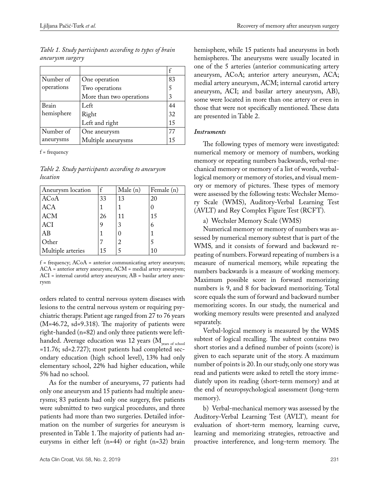| Table 1. Study participants according to types of brain |  |
|---------------------------------------------------------|--|
| aneurysm surgery                                        |  |

| Number of  | One operation            | 83 |
|------------|--------------------------|----|
| operations | Two operations           | 5  |
|            | More than two operations | 3  |
| Brain      | Left                     | 44 |
| hemisphere | Right                    | 32 |
|            | Left and right           | 15 |
| Number of  | One aneurysm             | 77 |
| aneurysms  | Multiple aneurysms       | 15 |

f = frequency

*Table 2. Study participants according to aneurysm location*

| Aneurysm location | f  | Male(n) | Female (n) |
|-------------------|----|---------|------------|
| <b>ACoA</b>       | 33 | 13      | 20         |
| <b>ACA</b>        |    |         |            |
| <b>ACM</b>        | 26 | 11      | 15         |
| <b>ACI</b>        | 9  | 3       | 6          |
| AB                |    | 0       |            |
| Other             |    | 2       |            |
| Multiple arteries | 15 |         | 10         |

 $f = frequency$ ;  $ACoA = anterior$  communicating artery aneurysm; ACA = anterior artery aneurysm; ACM = medial artery aneurysm; ACI = internal carotid artery aneurysm; AB = basilar artery aneurysm

orders related to central nervous system diseases with lesions to the central nervous system or requiring psychiatric therapy. Patient age ranged from 27 to 76 years (M=46.72, sd=9.318). The majority of patients were right-handed (n=82) and only three patients were lefthanded. Average education was 12 years (M<sub>years of school</sub> =11.76; sd=2.727); most patients had completed secondary education (high school level), 13% had only elementary school, 22% had higher education, while 5% had no school.

As for the number of aneurysms, 77 patients had only one aneurysm and 15 patients had multiple aneurysms; 83 patients had only one surgery, five patients were submitted to two surgical procedures, and three patients had more than two surgeries. Detailed information on the number of surgeries for aneurysm is presented in Table 1. The majority of patients had aneurysms in either left (n=44) or right (n=32) brain

hemisphere, while 15 patients had aneurysms in both hemispheres. The aneurysms were usually located in one of the 5 arteries (anterior communicating artery aneurysm, ACoA; anterior artery aneurysm, ACA; medial artery aneurysm, ACM; internal carotid artery aneurysm, ACI; and basilar artery aneurysm, AB), some were located in more than one artery or even in those that were not specifically mentioned. These data are presented in Table 2.

#### *Instruments*

The following types of memory were investigated: numerical memory or memory of numbers, working memory or repeating numbers backwards, verbal-mechanical memory or memory of a list of words, verballogical memory or memory of stories, and visual memory or memory of pictures. These types of memory were assessed by the following tests: Wechsler Memory Scale (WMS), Auditory-Verbal Learning Test (AVLT) and Rey Complex Figure Test (RCFT).

a) Wechsler Memory Scale (WMS)

Numerical memory or memory of numbers was assessed by numerical memory subtest that is part of the WMS*,* and it consists of forward and backward repeating of numbers. Forward repeating of numbers is a measure of numerical memory, while repeating the numbers backwards is a measure of working memory. Maximum possible score in forward memorizing numbers is 9, and 8 for backward memorizing. Total score equals the sum of forward and backward number memorizing scores. In our study, the numerical and working memory results were presented and analyzed separately.

Verbal-logical memory is measured by the WMS subtest of logical recalling*.* The subtest contains two short stories and a defined number of points (score) is given to each separate unit of the story. A maximum number of points is 20. In our study, only one story was read and patients were asked to retell the story immediately upon its reading (short-term memory) and at the end of neuropsychological assessment (long-term memory).

b) Verbal-mechanical memory was assessed by the Auditory-Verbal Learning Test (AVLT)*,* meant for evaluation of short-term memory, learning curve, learning and memorizing strategies, retroactive and proactive interference, and long-term memory. The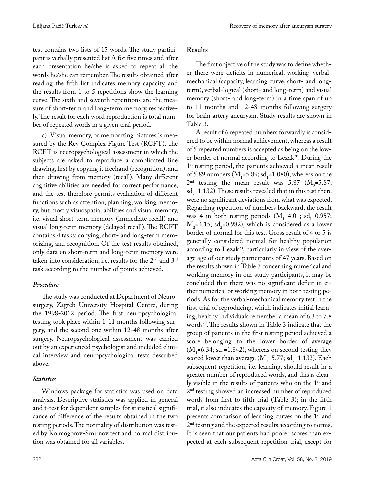test contains two lists of 15 words. The study participant is verbally presented list A for five times and after each presentation he/she is asked to repeat all the words he/she can remember. The results obtained after reading the fifth list indicates memory capacity, and the results from 1 to 5 repetitions show the learning curve. The sixth and seventh repetitions are the measure of short-term and long-term memory, respectively. The result for each word reproduction is total number of repeated words in a given trial period.

c) Visual memory, or memorizing pictures is measured by the Rey Complex Figure Test (RCFT). The RCFT is [neuropsychological assessment](https://en.wikipedia.org/wiki/Neuropsychological_assessment) in which the subjects are asked to reproduce a complicated line drawing, first by copying it freehand (recognition), and then drawing from memory (recall). Many different cognitive abilities are needed for correct performance, and the test therefore permits evaluation of different functions such as attention, planning, working memory, but mostly [visuospatial abilities](https://en.wikipedia.org/wiki/Spatial-temporal_reasoning) and visual memory, i.e. visual short-term memory (immediate recall) and visual long-term memory (delayed recall). The RCFT contains 4 tasks: copying, short- and long-term memorizing, and recognition. Of the test results obtained, only data on short-term and long-term memory were taken into consideration, i.e. results for the  $2<sup>nd</sup>$  and  $3<sup>rd</sup>$ task according to the number of points achieved.

#### *Procedure*

The study was conducted at Department of Neurosurgery, Zagreb University Hospital Centre, during the 1998-2012 period. The first neuropsychological testing took place within 1-11 months following surgery, and the second one within 12-48 months after surgery. Neuropsychological assessment was carried out by an experienced psychologist and included clinical interview and neuropsychological tests described above.

## *Statistics*

Windows package for statistics was used on data analysis. Descriptive statistics was applied in general and t-test for dependent samples for statistical significance of difference of the results obtained in the two testing periods. The normality of distribution was tested by Kolmogorov-Smirnov test and normal distribution was obtained for all variables.

### **Results**

The first objective of the study was to define whether there were deficits in numerical, working, verbalmechanical (capacity, learning curve, short- and longterm), verbal-logical (short- and long-term) and visual memory (short- and long-term) in a time span of up to 11 months and 12-48 months following surgery for brain artery aneurysm. Study results are shown in Table 3.

A result of 6 repeated numbers forwardly is considered to be within normal achievement, whereas a result of 5 repeated numbers is accepted as being on the lower border of normal according to Lezak<sup>20</sup>. During the 1<sup>st</sup> testing period, the patients achieved a mean result of 5.89 numbers  $(M_1=5.89; sd_1=1.080)$ , whereas on the  $2<sup>nd</sup>$  testing the mean result was 5.87 (M<sub>2</sub>=5.87;  $sd_2$ =1.132). These results revealed that in this test there were no significant deviations from what was expected. Regarding repetition of numbers backward, the result was 4 in both testing periods  $(M_1=4.01; sd_1=0.957;$  $M_2$ =4.15; sd<sub>2</sub>=0.982), which is considered as a lower border of normal for this test. Gross result of 4 or 5 is generally considered normal for healthy population according to Lezak<sup>20</sup>, particularly in view of the average age of our study participants of 47 years. Based on the results shown in Table 3 concerning numerical and working memory in our study participants, it may be concluded that there was no significant deficit in either numerical or working memory in both testing periods. As for the verbal-mechanical memory test in the first trial of reproducing, which indicates initial learning, healthy individuals remember a mean of 6.3 to 7.8 words<sup>20</sup>. The results shown in Table 3 indicate that the group of patients in the first testing period achieved a score belonging to the lower border of average  $(M_1=6.34; sd_1=1.842)$ , whereas on second testing they scored lower than average  $(M_2=5.77; sd_2=1.132)$ . Each subsequent repetition, i.e. learning, should result in a greater number of reproduced words, and this is clearly visible in the results of patients who on the 1<sup>st</sup> and 2<sup>nd</sup> testing showed an increased number of reproduced words from first to fifth trial (Table 3); in the fifth trial, it also indicates the capacity of memory. Figure 1 presents comparison of learning curves on the 1<sup>st</sup> and 2<sup>nd</sup> testing and the expected results according to norms. It is seen that our patients had poorer scores than expected at each subsequent repetition trial, except for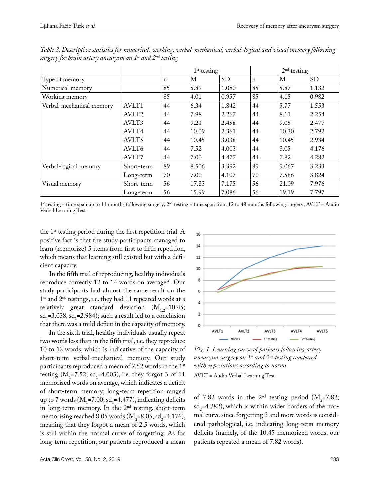|                          |                   | $1st$ testing |       | $2nd$ testing |             |       |           |
|--------------------------|-------------------|---------------|-------|---------------|-------------|-------|-----------|
| Type of memory           |                   | n             | М     | <b>SD</b>     | $\mathbf n$ | М     | <b>SD</b> |
| Numerical memory         |                   | 85            | 5.89  | 1.080         | 85          | 5.87  | 1.132     |
| Working memory           |                   | 85            | 4.01  | 0.957         | 85          | 4.15  | 0.982     |
| Verbal-mechanical memory | AVLT1             | 44            | 6.34  | 1.842         | 44          | 5.77  | 1.553     |
|                          | AVLT <sub>2</sub> | 44            | 7.98  | 2.267         | 44          | 8.11  | 2.254     |
|                          | AVLT3             | 44            | 9.23  | 2.458         | 44          | 9.05  | 2.477     |
|                          | AVLT4             | 44            | 10.09 | 2.361         | 44          | 10.30 | 2.792     |
|                          | AVLT5             | 44            | 10.45 | 3.038         | 44          | 10.45 | 2.984     |
|                          | AVLT6             | 44            | 7.52  | 4.003         | 44          | 8.05  | 4.176     |
|                          | AVLT7             | 44            | 7.00  | 4.477         | 44          | 7.82  | 4.282     |
| Verbal-logical memory    | Short-term        | 89            | 8.506 | 3.392         | 89          | 9.067 | 3.233     |
|                          | Long-term         | 70            | 7.00  | 4.107         | 70          | 7.586 | 3.824     |
| Visual memory            | Short-term        | 56            | 17.83 | 7.175         | 56          | 21.09 | 7.976     |
|                          | Long-term         | 56            | 15.99 | 7.086         | 56          | 19.19 | 7.797     |

*Table 3. Descriptive statistics for numerical, working, verbal-mechanical, verbal-logical and visual memory following surgery for brain artery aneurysm on 1st and 2nd testing*

1<sup>st</sup> testing = time span up to 11 months following surgery;  $2^{nd}$  testing = time span from 12 to 48 months following surgery; AVLT = Audio Verbal Learning Test

16

the  $1<sup>st</sup>$  testing period during the first repetition trial. A positive fact is that the study participants managed to learn (memorize) 5 items from first to fifth repetition, which means that learning still existed but with a deficient capacity.

In the fifth trial of reproducing, healthy individuals reproduce correctly 12 to 14 words on average<sup>20</sup>. Our study participants had almost the same result on the  $1<sup>st</sup>$  and  $2<sup>nd</sup>$  testings, i.e. they had 11 repeated words at a relatively great standard deviation  $(M_{12}=10.45)$ ;  $sd_1 = 3.038$ ,  $sd_2 = 2.984$ ); such a result led to a conclusion that there was a mild deficit in the capacity of memory.

In the sixth trial, healthy individuals usually repeat two words less than in the fifth trial, i.e. they reproduce 10 to 12 words, which is indicative of the capacity of short-term verbal-mechanical memory. Our study participants reproduced a mean of 7.52 words in the  $1<sup>st</sup>$ testing  $(M_1=7.52; sd_1=4.003)$ , i.e. they forgot 3 of 11 memorized words on average, which indicates a deficit of short-term memory; long-term repetition ranged up to 7 words  $(M_1=7.00; sd_1=4.477)$ , indicating deficits in long-term memory. In the  $2<sup>nd</sup>$  testing, short-term memorizing reached 8.05 words  $(M_2=8.05; sd_2=4.176)$ , meaning that they forgot a mean of 2.5 words, which is still within the normal curve of forgetting. As for long-term repetition, our patients reproduced a mean



*Fig. 1. Learning curve of patients following artery aneurysm surgery on 1st and 2nd testing compared with expectations according to norms.*

AVLT = Audio Verbal Learning Test

of 7.82 words in the  $2<sup>nd</sup>$  testing period ( $M<sub>2</sub>=7.82$ ;  $sd_2 = 4.282$ ), which is within wider borders of the normal curve since forgetting 3 and more words is considered pathological, i.e. indicating long-term memory deficits (namely, of the 10.45 memorized words, our patients repeated a mean of 7.82 words).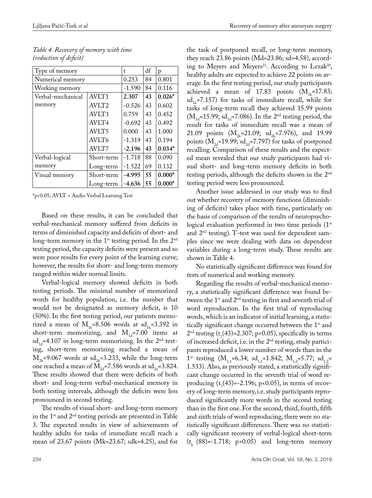$\overline{a}$ 

| Type of memory    |                   | t        | df | р        |
|-------------------|-------------------|----------|----|----------|
| Numerical memory  |                   | 0.253    | 84 | 0.801    |
| Working memory    |                   | $-1.590$ | 84 | 0.116    |
| Verbal-mechanical | <b>AVLT1</b>      | 2.307    | 43 | $0.026*$ |
| memory            | AVLT <sub>2</sub> | $-0.526$ | 43 | 0.602    |
|                   | AVLT3             | 0.759    | 43 | 0.452    |
|                   | AVLT4             | $-0.692$ | 43 | 0.492    |
|                   | AVLT5             | 0.000    | 43 | 1.000    |
|                   | AVLT6             | $-1.319$ | 43 | 0.194    |
|                   | AVLT7             | $-2.196$ | 43 | $0.034*$ |
| Verbal-logical    | Short-term        | $-1.718$ | 88 | 0.090    |
| memory            | Long-term         | $-1.522$ | 69 | 0.132    |
| Visual memory     | Short-term        | $-4.995$ | 55 | $0.000*$ |
|                   | Long-term         | $-4.636$ | 55 | $0.000*$ |

*Table 4. Recovery of memory with time (reduction of deficit)*

\*p<0.05; AVLT = Audio Verbal Learning Test

Based on these results, it can be concluded that verbal-mechanical memory suffered from deficits in terms of diminished capacity and deficits of short- and long-term memory in the  $1<sup>st</sup>$  testing period. In the  $2<sup>nd</sup>$ testing period, the capacity deficits were present and so were poor results for every point of the learning curve; however, the results for short- and long-term memory ranged within wider normal limits.

Verbal-logical memory showed deficits in both testing periods. The minimal number of memorized words for healthy population, i.e. the number that would not be designated as memory deficit, is 10 (50%). In the first testing period, our patients memorized a mean of  $M_{1k}$ =8.506 words at sd<sub>1k</sub>=3.392 in short-term memorizing, and  $M_{1d}$ =7.00 items at  $sd_{1d} = 4.107$  in long-term memorizing. In the  $2<sup>nd</sup>$  testing, short-term memorizing reached a mean of  $M_{2k}$ =9.067 words at sd<sub>2k</sub>=3.233, while the long-term one reached a mean of  $M_{2d}$ =7.586 words at sd<sub>2d</sub>=3.824. These results showed that there were deficits of both short- and long-term verbal-mechanical memory in both testing intervals, although the deficits were less pronounced in second testing.

The results of visual short- and long-term memory in the  $1<sup>st</sup>$  and  $2<sup>nd</sup>$  testing periods are presented in Table 3. The expected results in view of achievements of healthy adults for tasks of immediate recall reach a mean of 23.67 points (Mk=23.67; sdk=4.25), and for the task of postponed recall, or long-term memory, they reach 23.86 points (Md=23.86; sd=4.58), according to Meyers and Meyers<sup>21</sup>. According to Lezak<sup>20</sup>, healthy adults are expected to achieve 22 points on average. In the first testing period, our study participants achieved a mean of 17.83 points  $(M_{1k}=17.83;$  $sd_{1k}=7.157$ ) for tasks of immediate recall, while for tasks of long-term recall they achieved 15.99 points  $(M_{1d}=15.99; sd_{1d}=7.086)$ . In the 2<sup>nd</sup> testing period, the result for tasks of immediate recall was a mean of 21.09 points  $(M_{2k}=21.09; sd_{2k}=7.976)$ , and 19.99 points ( $M_{2d}$ =19.99; sd<sub>2d</sub>=7.797) for tasks of postponed recalling. Comparison of these results and the expected mean revealed that our study participants had visual short- and long-term memory deficits in both testing periods, although the deficits shown in the 2nd testing period were less pronounced.

Another issue addressed in our study was to find out whether recovery of memory functions (diminishing of deficits) takes place with time, particularly on the basis of comparison of the results of neuropsychological evaluation performed in two time periods  $(1<sup>st</sup>)$ and 2nd testing). T-test was used for dependent samples since we were dealing with data on dependent variables during a long-term study. These results are shown in Table 4.

No statistically significant difference was found for tests of numerical and working memory.

Regarding the results of verbal-mechanical memory, a statistically significant difference was found between the  $1^{st}$  and  $2^{nd}$  testing in first and seventh trial of word reproduction. In the first trial of reproducing words, which is an indicator of initial learning, a statistically significant change occurred between the 1<sup>st</sup> and  $2<sup>nd</sup>$  testing (t<sub>1</sub>(43)=2.307; p<0.05), specifically in terms of increased deficit, i.e. in the 2nd testing, study participants reproduced a lower number of words than in the 1<sup>st</sup> testing (M<sub>1,1</sub>=6.34; sd<sub>1,1</sub>=1.842; M<sub>1,2</sub>=5.77; sd<sub>1,2</sub>= 1.533). Also, as previously stated, a statistically significant change occurred in the seventh trial of word reproducing  $(t_7(43)=2.196; p<0.05)$ , in terms of recovery of long-term memory, i.e. study participants reproduced significantly more words in the second testing than in the first one. For the second, third, fourth, fifth and sixth trials of word reproducing, there were no statistically significant differences. There was no statistically significant recovery of verbal-logical short-term  $(t_{k} (88)=1.718; p>0.05)$  and long-term memory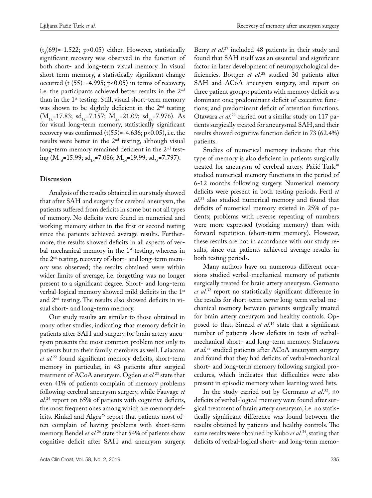$(t<sub>d</sub>(69)=1.522; p>0.05)$  either. However, statistically significant recovery was observed in the function of both short- and long-term visual memory. In visual short-term memory, a statistically significant change occurred (t  $(55)$ =-4.995; p<0.05) in terms of recovery, i.e. the participants achieved better results in the 2nd than in the 1<sup>st</sup> testing. Still, visual short-term memory was shown to be slightly deficient in the 2<sup>nd</sup> testing  $(M_{1k}=17.83; \text{ sd}_{1k}=7.157; M_{2k}=21.09; \text{ sd}_{2k}=7.976).$  As for visual long-term memory, statistically significant recovery was confirmed  $(t(55)=-4.636; p<0.05)$ , i.e. the results were better in the  $2<sup>nd</sup>$  testing, although visual long-term memory remained deficient in the 2<sup>nd</sup> testing ( $M_{1d}$ =15.99; sd<sub>1d</sub>=7.086;  $M_{2d}$ =19.99; sd<sub>2d</sub>=7.797).

#### **Discussion**

Analysis of the results obtained in our study showed that after SAH and surgery for cerebral aneurysm, the patients suffered from deficits in some but not all types of memory. No deficits were found in numerical and working memory either in the first or second testing since the patients achieved average results. Furthermore, the results showed deficits in all aspects of verbal-mechanical memory in the  $1<sup>st</sup>$  testing, whereas in the 2nd testing, recovery of short- and long-term memory was observed; the results obtained were within wider limits of average, i.e. forgetting was no longer present to a significant degree. Short- and long-term verbal-logical memory showed mild deficits in the 1<sup>st</sup> and 2nd testing. The results also showed deficits in visual short- and long-term memory.

Our study results are similar to those obtained in many other studies, indicating that memory deficit in patients after SAH and surgery for brain artery aneurysm presents the most common problem not only to patients but to their family members as well. Laiacona *et al.*22 found significant memory deficits, short-term memory in particular, in 43 patients after surgical treatment of ACoA aneurysm. Ogden *et al.*23 state that even 41% of patients complain of memory problems following cerebral aneurysm surgery, while Fauvage *et al.*24 report on 65% of patients with cognitive deficits, the most frequent ones among which are memory deficits. Rinkel and Algra<sup>25</sup> report that patients most often complain of having problems with short-term memory. Bendel *et al.*26 state that 54% of patients show cognitive deficit after SAH and aneurysm surgery.

Berry *et al.*27 included 48 patients in their study and found that SAH itself was an essential and significant factor in later development of neuropsychological deficiencies. Bottger *et al.*28 studied 30 patients after SAH and ACoA aneurysm surgery, and report on three patient groups: patients with memory deficit as a dominant one; predominant deficit of executive functions; and predominant deficit of attention functions. Otawara *et al.*29 carried out a similar study on 117 patients surgically treated for aneurysmal SAH, and their results showed cognitive function deficit in 73 (62.4%) patients.

Studies of numerical memory indicate that this type of memory is also deficient in patients surgically treated for aneurysm of cerebral artery. Pačić-Turk<sup>30</sup> studied numerical memory functions in the period of 6-12 months following surgery. Numerical memory deficits were present in both testing periods. Fertl *et al.*31 also studied numerical memory and found that deficits of numerical memory existed in 25% of patients; problems with reverse repeating of numbers were more expressed (working memory) than with forward repetition (short-term memory). However, these results are not in accordance with our study results, since our patients achieved average results in both testing periods.

Many authors have on numerous different occasions studied verbal-mechanical memory of patients surgically treated for brain artery aneurysm. Germano *et al.*32 report no statistically significant difference in the results for short-term *versus* long-term verbal-mechanical memory between patients surgically treated for brain artery aneurysm and healthy controls. Opposed to that, Simard *et al.*14 state that a significant number of patients show deficits in tests of verbalmechanical short- and long-term memory. Stefanova *et al.*33 studied patients after ACoA aneurysm surgery and found that they had deficits of verbal-mechanical short- and long-term memory following surgical procedures, which indicates that difficulties were also present in episodic memory when learning word lists.

In the study carried out by Germano *et al*. 32, no deficits of verbal-logical memory were found after surgical treatment of brain artery aneurysm, i.e. no statistically significant difference was found between the results obtained by patients and healthy controls. The same results were obtained by Kubo *et al.*34, stating that deficits of verbal-logical short- and long-term memo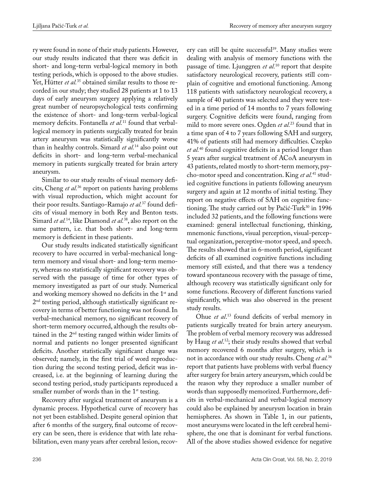ry were found in none of their study patients. However, our study results indicated that there was deficit in short- and long-term verbal-logical memory in both testing periods, which is opposed to the above studies. Yet, Hütter *et al.*<sup>35</sup> obtained similar results to those recorded in our study; they studied 28 patients at 1 to 13 days of early aneurysm surgery applying a relatively great number of neuropsychological tests confirming the existence of short- and long-term verbal-logical memory deficits. Fontanella *et al.*11 found that verballogical memory in patients surgically treated for brain artery aneurysm was statistically significantly worse than in healthy controls. Simard *et al.*14 also point out deficits in short- and long-term verbal-mechanical memory in patients surgically treated for brain artery aneurysm.

Similar to our study results of visual memory deficits, Cheng *et al.*36 report on patients having problems with visual reproduction, which might account for their poor results. Santiago-Ramajo *et al.*37 found deficits of visual memory in both Rey and Benton tests. Simard *et al.*14, like Diamond *et al.*38, also report on the same pattern, i.e. that both short- and long-term memory is deficient in these patients.

Our study results indicated statistically significant recovery to have occurred in verbal-mechanical longterm memory and visual short- and long-term memory, whereas no statistically significant recovery was observed with the passage of time for other types of memory investigated as part of our study. Numerical and working memory showed no deficits in the 1<sup>st</sup> and 2nd testing period, although statistically significant recovery in terms of better functioning was not found. In verbal-mechanical memory, no significant recovery of short-term memory occurred, although the results obtained in the  $2<sup>nd</sup>$  testing ranged within wider limits of normal and patients no longer presented significant deficits. Another statistically significant change was observed; namely, in the first trial of word reproduction during the second testing period, deficit was increased, i.e. at the beginning of learning during the second testing period, study participants reproduced a smaller number of words than in the  $1<sup>st</sup>$  testing.

Recovery after surgical treatment of aneurysm is a dynamic process. Hypothetical curve of recovery has not yet been established. Despite general opinion that after 6 months of the surgery, final outcome of recovery can be seen, there is evidence that with late rehabilitation, even many years after cerebral lesion, recovery can still be quite successful<sup>39</sup>. Many studies were dealing with analysis of memory functions with the passage of time. Ljunggren *et al.*10 report that despite satisfactory neurological recovery, patients still complain of cognitive and emotional functioning. Among 118 patients with satisfactory neurological recovery, a sample of 40 patients was selected and they were tested in a time period of 14 months to 7 years following surgery. Cognitive deficits were found, ranging from mild to more severe ones. Ogden *et al.*23 found that in a time span of 4 to 7 years following SAH and surgery, 41% of patients still had memory difficulties. Czepko *et al.*40 found cognitive deficits in a period longer than 5 years after surgical treatment of ACoA aneurysm in 43 patients, related mostly to short-term memory, psycho-motor speed and concentration. King *et al.*41 studied cognitive functions in patients following aneurysm surgery and again at 12 months of initial testing. They report on negative effects of SAH on cognitive functioning. The study carried out by Pačić-Turk<sup>30</sup> in 1996 included 32 patients, and the following functions were examined: general intellectual functioning, thinking, mnemonic functions, visual perception, visual-perceptual organization, perceptive-motor speed, and speech. The results showed that in 6-month period, significant deficits of all examined cognitive functions including memory still existed, and that there was a tendency toward spontaneous recovery with the passage of time, although recovery was statistically significant only for some functions. Recovery of different functions varied significantly, which was also observed in the present study results.

Ohue *et al*. 13 found deficits of verbal memory in patients surgically treated for brain artery aneurysm. The problem of verbal memory recovery was addressed by Haug *et al*. 12; their study results showed that verbal memory recovered 6 months after surgery, which is not in accordance with our study results. Cheng *et al.*<sup>36</sup> report that patients have problems with verbal fluency after surgery for brain artery aneurysm, which could be the reason why they reproduce a smaller number of words than supposedly memorized. Furthermore, deficits in verbal-mechanical and verbal-logical memory could also be explained by aneurysm location in brain hemispheres. As shown in Table 1, in our patients, most aneurysms were located in the left cerebral hemisphere, the one that is dominant for verbal functions. All of the above studies showed evidence for negative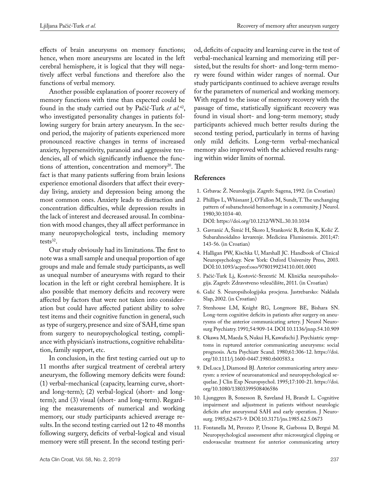effects of brain aneurysms on memory functions; hence, when more aneurysms are located in the left cerebral hemisphere, it is logical that they will negatively affect verbal functions and therefore also the functions of verbal memory.

Another possible explanation of poorer recovery of memory functions with time than expected could be found in the study carried out by Pačić-Turk *et al.*42, who investigated personality changes in patients following surgery for brain artery aneurysm. In the second period, the majority of patients experienced more pronounced reactive changes in terms of increased anxiety, hypersensitivity, paranoid and aggressive tendencies, all of which significantly influence the functions of attention, concentration and memory<sup>20</sup>. The fact is that many patients suffering from brain lesions experience emotional disorders that affect their everyday living, anxiety and depression being among the most common ones. Anxiety leads to distraction and concentration difficulties, while depression results in the lack of interest and decreased arousal. In combination with mood changes, they all affect performance in many neuropsychological tests, including memory tests<sup>32</sup>.

Our study obviously had its limitations. The first to note was a small sample and unequal proportion of age groups and male and female study participants, as well as unequal number of aneurysms with regard to their location in the left or right cerebral hemisphere. It is also possible that memory deficits and recovery were affected by factors that were not taken into consideration but could have affected patient ability to solve test items and their cognitive function in general, such as type of surgery, presence and size of SAH, time span from surgery to neuropsychological testing, compliance with physician's instructions, cognitive rehabilitation, family support, etc.

In conclusion, in the first testing carried out up to 11 months after surgical treatment of cerebral artery aneurysm, the following memory deficits were found: (1) verbal-mechanical (capacity, learning curve, shortand long-term); (2) verbal-logical (short- and longterm); and (3) visual (short- and long-term). Regarding the measurements of numerical and working memory, our study participants achieved average results. In the second testing carried out 12 to 48 months following surgery, deficits of verbal-logical and visual memory were still present. In the second testing peri-

od, deficits of capacity and learning curve in the test of verbal-mechanical learning and memorizing still persisted, but the results for short- and long-term memory were found within wider ranges of normal. Our study participants continued to achieve average results for the parameters of numerical and working memory. With regard to the issue of memory recovery with the passage of time, statistically significant recovery was found in visual short- and long-term memory; study participants achieved much better results during the second testing period, particularly in terms of having only mild deficits. Long-term verbal-mechanical memory also improved with the achieved results ranging within wider limits of normal.

#### **References**

- 1. Grbavac Ž. Neurologija. Zagreb: Sagena, 1992. (in Croatian)
- 2. Phillips L, Whisnant J, O'Fallon M, Sundt, T. The unchanging pattern of subarachnoid hemorrhage in a community. J Neurol. 1980;30:1034-40. DOI: https://doi.org/10.1212/WNL.30.10.1034
- 3. Gavranić A, Šimić H, Škoro I, Stanković B, Rotim K, Kolić Z. Subarahnoidalno krvarenje. Medicina Fluminensis. 2011;47: 143-56. (in Croatian)
- 4. Halligan PW, Kischka U, Marshall JC. Handbook of Clinical Neuropsychology. New York: Oxford University Press, 2003. DOI:10.1093/acprof:oso/9780199234110.001.0001
- 5. Pačić-Turk Lj, Kostović-Srzentić M. Klinička neuropsihologija. Zagreb: Zdravstveno veleučilište, 2011. (in Croatian)
- 6. Galić S. Neuropsihologijska procjena. Jastrebarsko: Naklada Slap, 2002. (in Croatian)
- 7. Stenhouse LM, Knight RG, Longmore BE, Bishara SN. Long-term cognitive deficits in patients after surgery on aneurysms of the anterior communicating artery. J Neurol Neurosurg Psychiatry. 1991;54:909-14. DOI [10.1136/jnnp.54.10.909](https://doi.org/10.1136/jnnp.54.10.909)
- 8. Okawa M, Maeda S, Nukui H, Kawafuchi J. Psychiatric symptoms in ruptured anterior communicating aneurysms: social prognosis. Acta Psychiatr Scand. 1980;61:306-12. https://doi. org/10.1111/j.1600-0447.1980.tb00583.x
- 9. DeLuca J, Diamond BJ. Anterior communicating artery aneurysm: a review of neuroanatomical and neuropsychological sequelae. J Clin Exp Neuropsychol. 1995;17:100-21. https://doi. org/10.1080/13803399508406586
- 10. Ljunggren B, Sonesson B, Saveland H, Brandt L. Cognitive impairment and adjustment in patients without neurologic deficits after aneurysmal SAH and early operation. J Neurosurg. 1985;62:673-9. DOI:[10.3171/jns.1985.62.5.0673](https://doi.org/10.3171/jns.1985.62.5.0673)
- 11. Fontanella M, Perozzo P, Ursone R, Garbossa D, Bergui M. Neuropsychological assessment after microsurgical clipping or endovascular treatment for anterior communicating artery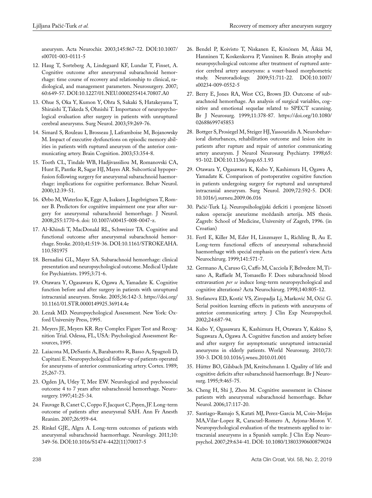aneurysm. Acta Neurochir. 2003;145:867-72. DOI[:10.1007/](https://doi.org/10.1007/s00701-003-0111-5) [s00701-003-0111-5](https://doi.org/10.1007/s00701-003-0111-5)

- 12. Haug T, Sorteberg A, Lindegaard KF, Lundar T, Finset, A. Cognitive outcome after aneurysmal subarachnoid hemorrhage: time course of recovery and relationship to clinical, radiological, and management parameters. Neurosurgery. 2007; 60:649-57. DOI:[10.1227/01.NEU.0000255414.70807.A0](https://doi.org/10.1227/01.NEU.0000255414.70807.A0)
- 13. Ohue S, Oka Y, Kumon Y, Ohta S, Sakaki S, Hatakeyama T, Shiraishi T, Takeda S, Ohnishi T. Importance of neuropsychological evaluation after surgery in patients with unruptured cerebral aneurysms. Surg Neurol. 2003;59:269-76.
- 14. Simard S, Rouleau I, Brosseau J, Laframboise M, Bojanowsky M. Impact of executive dysfunctions on episodic memory abilities in patients with ruptured aneurysm of the anterior communicating artery. Brain Cognition. 2003;53:354-8.
- 15. Tooth CL, Tindale WB, Hadjivassiliou M, Romanovski CA, Hunt E, Pantke R, Sagar HJ, Mayes AR. Subcortical hypoperfusion following surgery for aneurysmal subarachnoid haemorrhage: implications for cognitive performance. Behav Neurol. 2000;12:39-51.
- 16. Ørbo M, Waterloo K, Egge A, Isaksen J, Ingebrigtsen T, Romner B. Predictors for cognitive impairment one year after surgery for aneurysmal subarachnoid hemorrhage. J Neurol. 2008;255:1770-6. doi: [10.1007/s00415-008-0047-z.](http://dx.doi.org/10.1007/s00415-008-0047-z)
- 17. Al-Khindi T, MacDonald RL, Schweizer TA. Cognitive and functional outcome after aneurysmal subarachnoid hemorrhage. Stroke. 2010;41:519-36. DOI[:10.1161/STROKEAHA.](https://doi.org/10.1161/STROKEAHA.110.581975) [110.581975](https://doi.org/10.1161/STROKEAHA.110.581975)
- 18. Bernadini GL, Mayer SA. Subarachnoid hemorrhage: clinical presentation and neuropsychological outcome. Medical Update for Psychiatrists. 1995;3:71-6.
- 19. Otawara Y, Ogasawara K, Ogawa A, Yamadate K. Cognitive function before and after surgery in patients with unruptured intracranial aneurysm. Stroke. 2005;36:142-3. [https://doi.org/](https://doi.org/10.1161/01.STR.0000149925.36914.4e) [10.1161/01.STR.0000149925.36914.4e](https://doi.org/10.1161/01.STR.0000149925.36914.4e)
- 20. Lezak MD. Neuropsychological Assessment. New York: Oxford University Press, 1995.
- 21. Meyers JE, Meyers KR. Rey Complex Figure Test and Recognition Trial. Odessa, FL, USA: Psychological Assessment Resources, 1995.
- 22. Laiacona M, DeSantis A, Barabarotto R, Basso A, Spagnoli D, Capitani E. Neuropsychological follow-up of patients operated for aneurysms of anterior communicating artery. Cortex. 1989; 25;267-73.
- 23. Ogden JA, Utley T, Mee EW. Neurological and psychosocial outcome 4 to 7 years after subarachnoid hemorrhage. Neurosurgery. 1997;41:25-34.
- 24. Fauvage B, Canet C, Coppo F, Jacquot C, Payen, JF. Long-term outcome of patients after aneurysmal SAH. Ann Fr Anesth Reanim. 2007;26:959-64.
- 25. Rinkel GJE, Algra A. Long-term outcomes of patients with aneurysmal subarachnoid haemorrhage. Neurology. 2011;10: 349-56. DOI:[10.1016/S1474-4422\(11\)70017-5](https://doi.org/10.1016/S1474-4422(11)70017-5)
- 26. Bendel P, Koivisto T, Niskanen E, Könönen M, Äikiä M, Hanninen T, Koskenkorva P, Vanninen R. Brain atrophy and neuropsychological outcome after treatment of ruptured anterior cerebral artery aneurysms: a voxet-based morphometric study. Neuroradiology. 2009;51:711-22. DOI[:10.1007/](https://doi.org/10.1007/s00234-009-0552-5) [s00234-009-0552-5](https://doi.org/10.1007/s00234-009-0552-5)
- 27. Berry E, Jones RA, West CG, Brown JD. Outcome of subarachnoid hemorrhage. An analysis of surgical variables, cognitive and emotional sequelae related to SPECT scanning. Br J Neurosurg. 1999;11:378-87. https://doi.org/10.1080/ 02688699745853
- 28. Bottger S, Prosiegel M, Steiger HJ, Yassouridis A. Neurobehavioral disturbances, rehabilitation outcome and lesion site in patients after rupture and repair of anterior communicating artery aneurysm. J Neurol Neurosurg Psychiatry. 1998;65: 93-102. DOI:[10.1136/jnnp.65.1.93](https://doi.org/10.1136/jnnp.65.1.93)
- 29. Otawara Y, Ogasawara K, Kubo Y, Kashimura H, Ogawa A, Yamadate K. Comparison of postoperative cognitive function in patients undergoing surgery for ruptured and unruptured intracranial aneurysm. Surg Neurol. 2009;72:592-5. DOI: [10.1016/j.surneu.2009.06.016](https://doi.org/10.1016/j.surneu.2009.06.016)
- 30. Pačić-Turk Lj. Neuropsihologijski deficiti i promjene ličnosti nakon operacije aneurizme moždanih arterija. MS thesis. Zagreb: School of Medicine, University of Zagreb, 1996. (in Croatian)
- 31. Fertl E, Killer M, Eder H, Linzmayer L, Richling B, Au E. Long-term functional effects of aneurysmal subarachnoid haemorrhage with special emphasis on the patient's view. Acta Neurochirurg. 1999;141:571-7.
- 32. Germano A, Caruso G, Caffo M, Cacciola F, Belvedere M, Tisano A, Raffaele M, Tomasello F. Does subarachnoid blood extravasation *per se* induce long-term neuropsychological and cognitive alterations? Acta Neurochirurg. 1998;140:805-12.
- 33. Stefanova ED, Kostić VS, Ziropadja Lj, Marković M, Očić G. Serial position learning effects in patients with aneurysms of anterior communicating artery. J Clin Exp Neuropsychol. 2002;24:687-94.
- 34. Kubo Y, Ogasawara K, Kashimura H, Otawara Y, Kakino S, Sugawara A, Ogawa A. Cognitive function and anxiety before and after surgery for asymptomatic unruptured intracranial aneurysms in elderly patients. World Neurosurg. 2010;73: 350-3. DOI:[10.1016/j.wneu.2010.01.001](https://doi.org/10.1016/j.wneu.2010.01.001)
- 35. Hütter BO, Gilsbach JM, Kreitschmann I. Quality of life and cognitive deficits after subarachnoid haemorrhage. Br J Neurosurg. 1995;9:465-75.
- 36. Cheng H, Shi J, Zhou M. Cognitive assessment in Chinese patients with aneurysmal subarachnoid hemorrhage. Behav Neurol. 2006;17:117-20.
- 37. Santiago-Ramajo S, Katati MJ, Perez-Garcia M, Coin-Meijas MA,Vilar-Lopez R, Caracuel-Romero A, Arjona-Moron V. Neuropsychological evaluation of the treatments applied to intracranial aneurysms in a Spanish sample. J Clin Exp Neuropsychol. 2007;29:634-41. DOI: 10.1080/13803390600879024